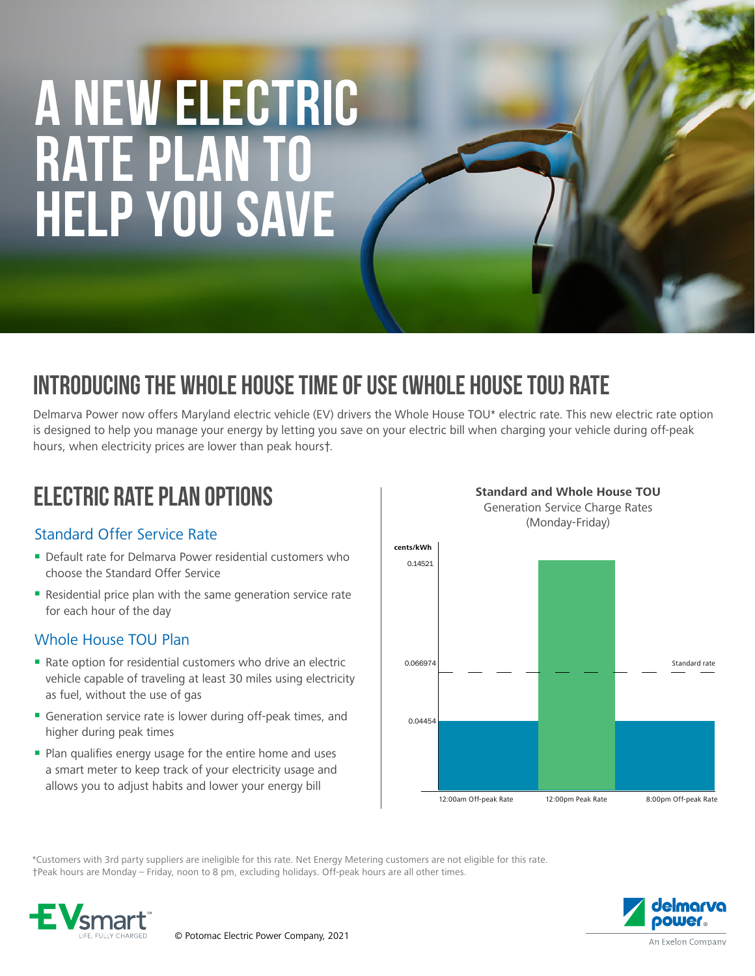# **A NEW ELECTRIC RATE PLAN TO HELP YOU SAVE**

## INTRODUCING THE WHOLE HOUSE TIME OF USE (WHOLE HOUSE TOU) RATE

Delmarva Power now offers Maryland electric vehicle (EV) drivers the Whole House TOU\* electric rate. This new electric rate option is designed to help you manage your energy by letting you save on your electric bill when charging your vehicle during off-peak hours, when electricity prices are lower than peak hours†.

### ELECTRIC RATE PLAN OPTIONS

#### Standard Offer Service Rate

- Default rate for Delmarya Power residential customers who choose the Standard Offer Service
- Residential price plan with the same generation service rate for each hour of the day

#### Whole House TOU Plan

- Rate option for residential customers who drive an electric vehicle capable of traveling at least 30 miles using electricity as fuel, without the use of gas
- Generation service rate is lower during off-peak times, and higher during peak times
- **Plan qualifies energy usage for the entire home and uses** a smart meter to keep track of your electricity usage and allows you to adjust habits and lower your energy bill



\*Customers with 3rd party suppliers are ineligible for this rate. Net Energy Metering customers are not eligible for this rate. †Peak hours are Monday – Friday, noon to 8 pm, excluding holidays. Off-peak hours are all other times.